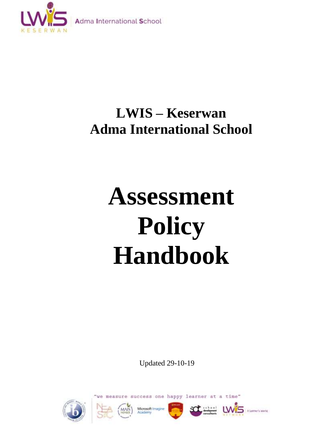

## **LWIS – Keserwan Adma International School**

# **Assessment Policy Handbook**

Updated 29-10-19









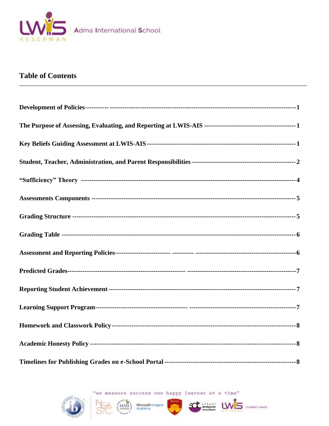

#### **Table of Contents**

"we measure success one happy learner at a time"

MAIS<sup>1</sup>





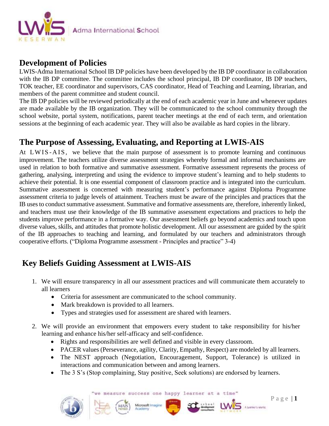

#### **Development of Policies**

LWIS-Adma International School IB DP policies have been developed by the IB DP coordinator in collaboration with the IB DP committee. The committee includes the school principal, IB DP coordinator, IB DP teachers, TOK teacher, EE coordinator and supervisors, CAS coordinator, Head of Teaching and Learning, librarian, and members of the parent committee and student council.

The IB DP policies will be reviewed periodically at the end of each academic year in June and whenever updates are made available by the IB organization. They will be communicated to the school community through the school website, portal system, notifications, parent teacher meetings at the end of each term, and orientation sessions at the beginning of each academic year. They will also be available as hard copies in the library.

## **The Purpose of Assessing, Evaluating, and Reporting at LWIS-AIS**

At LWIS-AIS, we believe that the main purpose of assessment is to promote learning and continuous improvement. The teachers utilize diverse assessment strategies whereby formal and informal mechanisms are used in relation to both formative and summative assessment. Formative assessment represents the process of gathering, analysing, interpreting and using the evidence to improve student's learning and to help students to achieve their potential. It is one essential component of classroom practice and is integrated into the curriculum. Summative assessment is concerned with measuring student's performance against Diploma Programme assessment criteria to judge levels of attainment. Teachers must be aware of the principles and practices that the IB uses to conduct summative assessment. Summative and formative assessments are, therefore, inherently linked, and teachers must use their knowledge of the IB summative assessment expectations and practices to help the students improve performance in a formative way. Our assessment beliefs go beyond academics and touch upon diverse values, skills, and attitudes that promote holistic development. All our assessment are guided by the spirit of the IB approaches to teaching and learning, and formulated by our teachers and administrators through cooperative efforts. ("Diploma Programme assessment - Principles and practice" 3-4)

## **Key Beliefs Guiding Assessment at LWIS-AIS**

- 1. We will ensure transparency in all our assessment practices and will communicate them accurately to all learners
	- Criteria for assessment are communicated to the school community.
	- Mark breakdown is provided to all learners.
	- Types and strategies used for assessment are shared with learners.
- 2. We will provide an environment that empowers every student to take responsibility for his/her learning and enhance his/her self-afficacy and self-confidence.
	- Rights and responsibilities are well defined and visible in every classroom.
	- PACER values (Perseverance, agility, Clarity, Empathy, Respect) are modeled by all learners.
	- The NEST approach (Negotiation, Encouragement, Support, Tolerance) is utilized in interactions and communication between and among learners.
	- The 3 S's (Stop complaining, Stay positive, Seek solutions) are endorsed by learners.

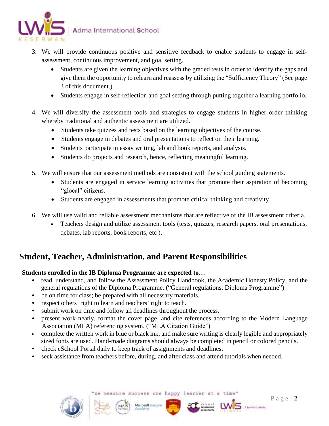

- 3. We will provide continuous positive and sensitive feedback to enable students to engage in selfassessment, continuous improvement, and goal setting.
	- Students are given the learning objectives with the graded tests in order to identify the gaps and give them the opportunity to relearn and reassess by utilizing the "Sufficiency Theory" (See page 3 of this document.).
	- Students engage in self-reflection and goal setting through putting together a learning portfolio.
- 4. We will diversify the assessment tools and strategies to engage students in higher order thinking whereby traditional and authentic assessment are utilized.
	- Students take quizzes and tests based on the learning objectives of the course.
	- Students engage in debates and oral presentations to reflect on their learning.
	- Students participate in essay writing, lab and book reports, and analysis.
	- Students do projects and research, hence, reflecting meaningful learning.
- 5. We will ensure that our assessment methods are consistent with the school guiding statements.
	- Students are engaged in service learning activities that promote their aspiration of becoming "glocal" citizens.
	- Students are engaged in assessments that promote critical thinking and creativity.
- 6. We will use valid and reliable assessment mechanisms that are reflective of the IB assessment criteria.
	- Teachers design and utilize assessment tools (tests, quizzes, research papers, oral presentations, debates, lab reports, book reports, etc ).

## **Student, Teacher, Administration, and Parent Responsibilities**

#### **Students enrolled in the IB Diploma Programme are expected to…**

- read, understand, and follow the Assessment Policy Handbook, the Academic Honesty Policy, and the general regulations of the Diploma Programme. ("General regulations: Diploma Programme")
- be on time for class; be prepared with all necessary materials.
- respect others' right to learn and teachers' right to teach.
- submit work on time and follow all deadlines throughout the process.
- present work neatly, format the cover page, and cite references according to the Modern Language Association (MLA) referencing system. ("MLA Citation Guide")
- complete the written work in blue or black ink, and make sure writing is clearly legible and appropriately sized fonts are used. Hand-made diagrams should always be completed in pencil or colored pencils.
- check eSchool Portal daily to keep track of assignments and deadlines.
- seek assistance from teachers before, during, and after class and attend tutorials when needed.

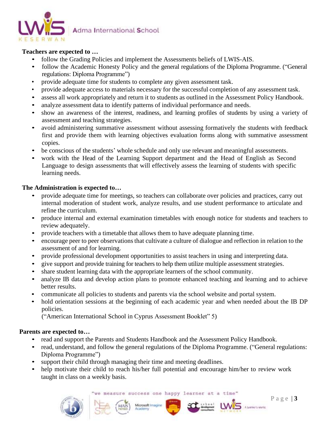

#### **Teachers are expected to …**

- follow the Grading Policies and implement the Assessments beliefs of LWIS-AIS.
- follow the Academic Honesty Policy and the general regulations of the Diploma Programme. ("General regulations: Diploma Programme")
- provide adequate time for students to complete any given assessment task.
- provide adequate access to materials necessary for the successful completion of any assessment task.
- assess all work appropriately and return it to students as outlined in the Assessment Policy Handbook.
- analyze assessment data to identify patterns of individual performance and needs.
- show an awareness of the interest, readiness, and learning profiles of students by using a variety of assessment and teaching strategies.
- avoid administering summative assessment without assessing formatively the students with feedback first and provide them with learning objectives evaluation forms along with summative assessment copies.
- be conscious of the students' whole schedule and only use relevant and meaningful assessments.
- work with the Head of the Learning Support department and the Head of English as Second Language to design assessments that will effectively assess the learning of students with specific learning needs.

#### **The Administration is expected to…**

- provide adequate time for meetings, so teachers can collaborate over policies and practices, carry out internal moderation of student work, analyze results, and use student performance to articulate and refine the curriculum.
- produce internal and external examination timetables with enough notice for students and teachers to review adequately.
- provide teachers with a timetable that allows them to have adequate planning time.
- encourage peer to peer observations that cultivate a culture of dialogue and reflection in relation to the assessment of and for learning.
- provide professional development opportunities to assist teachers in using and interpreting data.
- give support and provide training for teachers to help them utilize multiple assessment strategies.
- share student learning data with the appropriate learners of the school community.
- analyze IB data and develop action plans to promote enhanced teaching and learning and to achieve better results.
- communicate all policies to students and parents via the school website and portal system.
- hold orientation sessions at the beginning of each academic year and when needed about the IB DP policies.

("American International School in Cyprus Assessment Booklet" 5)

#### **Parents are expected to…**

• read and support the Parents and Students Handbook and the Assessment Policy Handbook.

Microsoft Imagine

- read, understand, and follow the general regulations of the Diploma Programme. ("General regulations: Diploma Programme")
- support their child through managing their time and meeting deadlines.
- help motivate their child to reach his/her full potential and encourage him/her to review work taught in class on a weekly basis.

we measure success one happy learner at a time



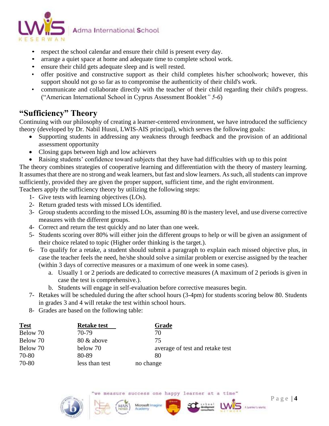

- respect the school calendar and ensure their child is present every day.
- arrange a quiet space at home and adequate time to complete school work.
- ensure their child gets adequate sleep and is well rested.
- offer positive and constructive support as their child completes his/her schoolwork; however, this support should not go so far as to compromise the authenticity of their child's work.
- communicate and collaborate directly with the teacher of their child regarding their child's progress. ("American International School in Cyprus Assessment Booklet*" 5-6*)

## **"Sufficiency" Theory**

Continuing with our philosophy of creating a learner-centered environment, we have introduced the sufficiency theory (developed by Dr. Nabil Husni, LWIS-AIS principal), which serves the following goals:

- Supporting students in addressing any weakness through feedback and the provision of an additional assessment opportunity
- Closing gaps between high and low achievers
- Raising students' confidence toward subjects that they have had difficulties with up to this point

The theory combines strategies of cooperative learning and differentiation with the theory of mastery learning. It assumes that there are no strong and weak learners, but fast and slow learners. As such, all students can improve sufficiently, provided they are given the proper support, sufficient time, and the right environment.

Teachers apply the sufficiency theory by utilizing the following steps:

- 1- Give tests with learning objectives (LOs).
- 2- Return graded tests with missed LOs identified.
- 3- Group students according to the missed LOs, assuming 80 is the mastery level, and use diverse corrective measures with the different groups.
- 4- Correct and return the test quickly and no later than one week.
- 5- Students scoring over 80% will either join the different groups to help or will be given an assignment of their choice related to topic (Higher order thinking is the target.).
- 6- To qualify for a retake, a student should submit a paragraph to explain each missed objective plus, in case the teacher feels the need, he/she should solve a similar problem or exercise assigned by the teacher (within 3 days of corrective measures or a maximum of one week in some cases).
	- a. Usually 1 or 2 periods are dedicated to corrective measures (A maximum of 2 periods is given in case the test is comprehensive.).
	- b. Students will engage in self-evaluation before corrective measures begin.
- 7- Retakes will be scheduled during the after school hours (3-4pm) for students scoring below 80. Students in grades 3 and 4 will retake the test within school hours.
- 8- Grades are based on the following table:

| <u>Test</u> | <b>Retake test</b> | Grade                           |
|-------------|--------------------|---------------------------------|
| Below 70    | 70-79              | 70                              |
| Below 70    | 80 & above         | 75                              |
| Below 70    | below 70           | average of test and retake test |
| 70-80       | 80-89              | 80                              |
| 70-80       | less than test     | no change                       |

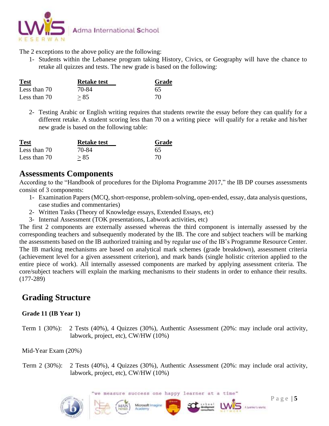

The 2 exceptions to the above policy are the following:

1- Students within the Lebanese program taking History, Civics, or Geography will have the chance to retake all quizzes and tests. The new grade is based on the following:

| <b>Test</b>  | <b>Retake test</b> | Grade |  |
|--------------|--------------------|-------|--|
| Less than 70 | 70-84              | 65    |  |
| Less than 70 | > 85               | 70.   |  |

2- Testing Arabic or English writing requires that students rewrite the essay before they can qualify for a different retake. A student scoring less than 70 on a writing piece will qualify for a retake and his/her new grade is based on the following table:

| <b>Test</b>  | <b>Retake test</b> | Grade |  |
|--------------|--------------------|-------|--|
| Less than 70 | 70-84              | 65    |  |
| Less than 70 | > 85               | 70    |  |

## **Assessments Components**

According to the "Handbook of procedures for the Diploma Programme 2017," the IB DP courses assessments consist of 3 components:

- 1- Examination Papers (MCQ, short-response, problem-solving, open-ended, essay, data analysis questions, case studies and commentaries)
- 2- Written Tasks (Theory of Knowledge essays, Extended Essays, etc)
- 3- Internal Assessment (TOK presentations, Labwork activities, etc)

The first 2 components are externally assessed whereas the third component is internally assessed by the corresponding teachers and subsequently moderated by the IB. The core and subject teachers will be marking the assessments based on the IB authorized training and by regular use of the IB's Programme Resource Center. The IB marking mechanisms are based on analytical mark schemes (grade breakdown), assessment criteria (achievement level for a given assessment criterion), and mark bands (single holistic criterion applied to the entire piece of work). All internally assessed components are marked by applying assessment criteria. The core/subject teachers will explain the marking mechanisms to their students in order to enhance their results. (177-289)

## **Grading Structure**

#### **Grade 11 (IB Year 1)**

Term 1 (30%): 2 Tests (40%), 4 Quizzes (30%), Authentic Assessment (20%: may include oral activity, labwork, project, etc), CW/HW (10%)

Mid-Year Exam (20%)

 Term 2 (30%): 2 Tests (40%), 4 Quizzes (30%), Authentic Assessment (20%: may include oral activity, labwork, project, etc), CW/HW (10%)

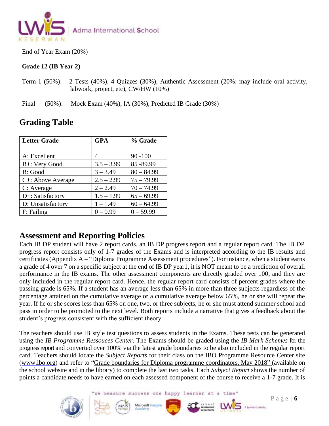

End of Year Exam (20%)

#### **Grade 12 (IB Year 2)**

Term 1 (50%): 2 Tests (40%), 4 Quizzes (30%), Authentic Assessment (20%: may include oral activity, labwork, project, etc), CW/HW (10%)

Final (50%): Mock Exam (40%), IA (30%), Predicted IB Grade (30%)

| <b>Letter Grade</b> | <b>GPA</b>   | % Grade      |
|---------------------|--------------|--------------|
| A: Excellent        |              | $90 - 100$   |
| B+: Very Good       | $3.5 - 3.99$ | 85-89.99     |
| B: Good             | $3 - 3.49$   | $80 - 84.99$ |
| C+: Above Average   | $2.5 - 2.99$ | $75 - 79.99$ |
| C: Average          | $2 - 2.49$   | $70 - 74.99$ |
| D+: Satisfactory    | $1.5 - 1.99$ | $65 - 69.99$ |
| D: Unsatisfactory   | $1 - 1.49$   | $60 - 64.99$ |
| F: Failing          | $0 - 0.99$   | $0 - 59.99$  |

## **Grading Table**

#### **Assessment and Reporting Policies**

Each IB DP student will have 2 report cards, an IB DP progress report and a regular report card. The IB DP progress report consists only of 1-7 grades of the Exams and is interpreted according to the IB results and certificates (Appendix A – "Diploma Programme Assessment procedures"). For instance, when a student earns a grade of 4 over 7 on a specific subject at the end of IB DP year1, it is NOT meant to be a prediction of overall performance in the IB exams. The other assessment components are directly graded over 100, and they are only included in the regular report card. Hence, the regular report card consists of percent grades where the passing grade is 65%. If a student has an average less than 65% in more than three subjects regardless of the percentage attained on the cumulative average or a cumulative average below 65%, he or she will repeat the year. If he or she scores less than 65% on one, two, or three subjects, he or she must attend summer school and pass in order to be promoted to the next level. Both reports include a narrative that gives a feedback about the student's progress consistent with the sufficient theory.

The teachers should use IB style test questions to assess students in the Exams. These tests can be generated using the *IB Programme Ressouces Center*. The Exams should be graded using the *IB Mark Schemes* for the progress report and converted over 100% via the latest grade boundaries to be also included in the regular report card. Teachers should locate the *Subject Reports* for their class on the IBO Programme Resource Center site (www.ibo.org) and refer to ["Grade boundaries for Diploma programme coordinators, May 2018"](https://resources.ibo.org/dp/topic/General-resources/resource/11162-48276?c=c3aff223&lang=en) (available on the school website and in the library) to complete the last two tasks. Each *Subject Report* shows the number of points a candidate needs to have earned on each assessed component of the course to receive a 1-7 grade. It is

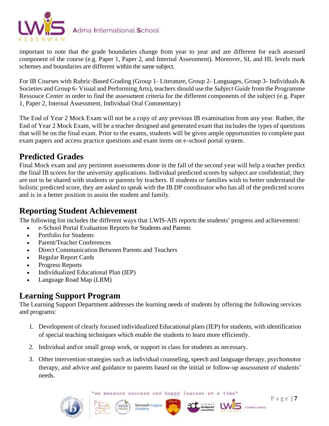

important to note that the grade boundaries change from year to year and are different for each assessed component of the course (e.g. Paper 1, Paper 2, and Internal Assessment). Moreover, SL and HL levels mark schemes and boundaries are different within the same subject.

For IB Courses with Rubric-Based Grading (Group 1- Literature, Group 2- Languages, Group 3- Individuals & Societies and Group 6- Visual and Performing Arts), teachers should use the *Subject Guide* from the Programme Ressouce Center in order to find the assessment criteria for the different components of the subject (e.g. Paper 1, Paper 2, Internal Assessment, Individual Oral Commentary)

The End of Year 2 Mock Exam will not be a copy of any previous IB examination from any year. Rather, the End of Year 2 Mock Exam, will be a teacher designed and generated exam that includes the types of questions that will be on the final exam. Prior to the exams, students will be given ample opportunities to complete past exam papers and access practice questions and exam items on e-school portal system.

## **Predicted Grades**

Final Mock exam and any pertinent assessments done in the fall of the second year will help a teacher predict the final IB scores for the university applications. Individual predicted scores by subject are confidential; they are not to be shared with students or parents by teachers. If students or families wish to better understand the holistic predicted score, they are asked to speak with the IB DP coordinator who has all of the predicted scores and is in a better position to assist the student and family.

## **Reporting Student Achievement**

The following list includes the different ways that LWIS-AIS reports the students' progress and achievement:

- e-School Portal Evaluation Reports for Students and Parents
- Portfolio for Students
- Parent/Teacher Conferences
- Direct Communication Between Parents and Teachers
- Regular Report Cards
- Progress Reports
- Individualized Educational Plan (IEP)
- Language Road Map (LRM)

## **Learning Support Program**

The Learning Support Department addresses the learning needs of students by offering the following services and programs:

- 1. Development of clearly focused individualized Educational plans (IEP) for students, with identification of special teaching techniques which enable the students to learn more efficiently.
- 2. Individual and\or small group work, or support in class for students as necessary.
- 3. Other intervention strategies such as individual counseling, speech and language therapy, psychomotor therapy, and advice and guidance to parents based on the initial or follow-up assessment of students' needs.

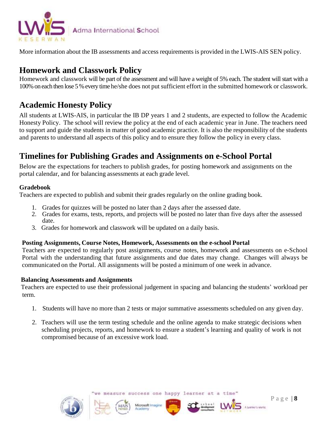

More information about the IB assessments and access requirements is provided in the LWIS-AIS SEN policy.

## **Homework and Classwork Policy**

Homework and classwork will be part of the assessment and will have a weight of 5% each. The student will start with a 100% on each then lose 5 % every time he/she does not put sufficient effort in the submitted homework or classwork.

## **Academic Honesty Policy**

All students at LWIS-AIS, in particular the IB DP years 1 and 2 students, are expected to follow the Academic Honesty Policy. The school will review the policy at the end of each academic year in June. The teachers need to support and guide the students in matter of good academic practice. It is also the responsibility of the students and parents to understand all aspects of this policy and to ensure they follow the policy in every class.

## **Timelines for Publishing Grades and Assignments on e-School Portal**

Below are the expectations for teachers to publish grades, for posting homework and assignments on the portal calendar, and for balancing assessments at each grade level.

#### **Gradebook**

Teachers are expected to publish and submit their grades regularly on the online grading book.

- 1. Grades for quizzes will be posted no later than 2 days after the assessed date.
- 2. Grades for exams, tests, reports, and projects will be posted no later than five days after the assessed date.
- 3. Grades for homework and classwork will be updated on a daily basis.

#### **Posting Assignments, Course Notes, Homework, Assessments on the e-school Portal**

Teachers are expected to regularly post assignments, course notes, homework and assessments on e-School Portal with the understanding that future assignments and due dates may change. Changes will always be communicated on the Portal. All assignments will be posted a minimum of one week in advance.

#### **Balancing Assessments and Assignments**

Teachers are expected to use their professional judgement in spacing and balancing the students' workload per term.

- 1. Students will have no more than 2 tests or major summative assessments scheduled on any given day.
- 2. Teachers will use the term testing schedule and the online agenda to make strategic decisions when scheduling projects, reports, and homework to ensure a student's learning and quality of work is not compromised because of an excessive work load.

Microsoft Imagin



we measure success one happy learner at a time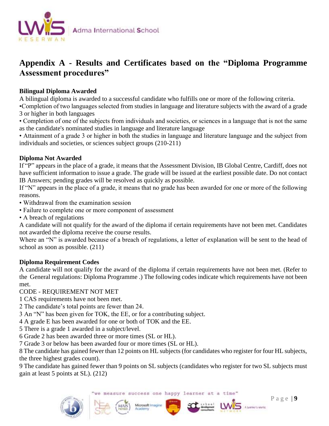

## **Appendix A - Results and Certificates based on the "Diploma Programme Assessment procedures"**

#### **Bilingual Diploma Awarded**

A bilingual diploma is awarded to a successful candidate who fulfills one or more of the following criteria.

•Completion of two languages selected from studies in language and literature subjects with the award of a grade 3 or higher in both languages

• Completion of one of the subjects from individuals and societies, or sciences in a language that is not the same as the candidate's nominated studies in language and literature language

• Attainment of a grade 3 or higher in both the studies in language and literature language and the subject from individuals and societies, or sciences subject groups (210-211)

#### **Diploma Not Awarded**

If "P" appears in the place of a grade, it means that the Assessment Division, IB Global Centre, Cardiff, does not have sufficient information to issue a grade. The grade will be issued at the earliest possible date. Do not contact IB Answers; pending grades will be resolved as quickly as possible.

If "N" appears in the place of a grade, it means that no grade has been awarded for one or more of the following reasons.

• Withdrawal from the examination session

• Failure to complete one or more component of assessment

• A breach of regulations

A candidate will not qualify for the award of the diploma if certain requirements have not been met. Candidates not awarded the diploma receive the course results.

Where an "N" is awarded because of a breach of regulations, a letter of explanation will be sent to the head of school as soon as possible. (211)

#### **Diploma Requirement Codes**

A candidate will not qualify for the award of the diploma if certain requirements have not been met. (Refer to the General regulations: Diploma Programme .) The following codes indicate which requirements have not been met.

CODE - REQUIREMENT NOT MET

1 CAS requirements have not been met.

2 The candidate's total points are fewer than 24.

3 An "N" has been given for TOK, the EE, or for a contributing subject.

4 A grade E has been awarded for one or both of TOK and the EE.

5 There is a grade 1 awarded in a subject/level.

6 Grade 2 has been awarded three or more times (SL or HL).

7 Grade 3 or below has been awarded four or more times (SL or HL).

8 The candidate has gained fewer than 12 points on HL subjects (for candidates who register for four HL subjects, the three highest grades count).

9 The candidate has gained fewer than 9 points on SL subjects (candidates who register for two SL subjects must gain at least 5 points at SL). (212)

Microsoft Imagine

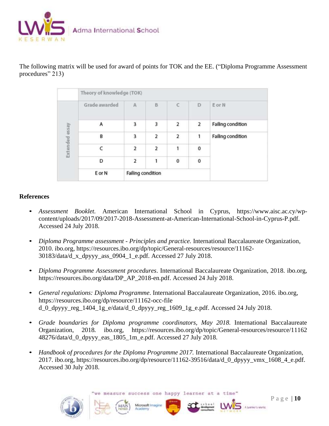

The following matrix will be used for award of points for TOK and the EE. ("Diploma Programme Assessment procedures" 213)

|                | Theory of knowledge (TOK) |                         |   |                |                |                          |
|----------------|---------------------------|-------------------------|---|----------------|----------------|--------------------------|
|                | Grade awarded             | $\mathbb{A}$            | B | C              | D              | E or N                   |
|                | A                         | 3                       | 3 | 2              | $\overline{2}$ | <b>Failing condition</b> |
|                | B                         | 3                       | 2 | $\overline{2}$ | 1              | <b>Failing condition</b> |
| Extended essay |                           | $\overline{\mathbf{2}}$ | 2 | 1              | 0              |                          |
|                | D                         | 2                       | 1 | $\mathbf 0$    | $\mathbf{0}$   |                          |
|                | E or N                    | Failing condition       |   |                |                |                          |

#### **References**

- *Assessment Booklet.* American International School in Cyprus, https://www.aisc.ac.cy/wpcontent/uploads/2017/09/2017-2018-Assessment-at-American-International-School-in-Cyprus-P.pdf. Accessed 24 July 2018.
- *Diploma Programme assessment - Principles and practice.* International Baccalaureate Organization, 2010. ibo.org, https://resources.ibo.org/dp/topic/General-resources/resource/11162- 30183/data/d\_x\_dpyyy\_ass\_0904\_1\_e.pdf. Accessed 27 July 2018.
- *Diploma Programme Assessment procedures*. International Baccalaureate Organization, 2018. ibo.org, https://resources.ibo.org/data/DP\_AP\_2018-en.pdf. Accessed 24 July 2018.
- *General regulations: Diploma Programme*. International Baccalaureate Organization, 2016. ibo.org, https://resources.ibo.org/dp/resource/11162-occ-file  $d_0$  dpyyy\_reg\_1404\_1g\_e/data/d\_0\_dpyyy\_reg\_1609\_1g\_e.pdf. Accessed 24 July 2018.
- *[Grade boundaries for Diploma programme](https://resources.ibo.org/dp/topic/General-resources/resource/11162-48276?c=c3aff223&lang=en) coordinators, May 2018.* International Baccalaureate Organization, 2018*.* ibo.org, https://resources.ibo.org/dp/topic/General-resources/resource/11162 48276/data/d\_0\_dpyyy\_eas\_1805\_1m\_e.pdf. Accessed 27 July 2018.
- *Handbook of procedures for the Diploma Programme 2017.* International Baccalaureate Organization, 2017. ibo.org, [https://resources.ibo.org/dp/resource/11162-39516/data/d\\_0\\_dpyyy\\_vmx\\_1608\\_4\\_e.pdf.](https://resources.ibo.org/dp/resource/11162-39516/data/d_0_dpyyy_vmx_1608_4_e.pdf.%20Accessed%2030%20July%202018)  [Accessed 30 July 2018.](https://resources.ibo.org/dp/resource/11162-39516/data/d_0_dpyyy_vmx_1608_4_e.pdf.%20Accessed%2030%20July%202018)